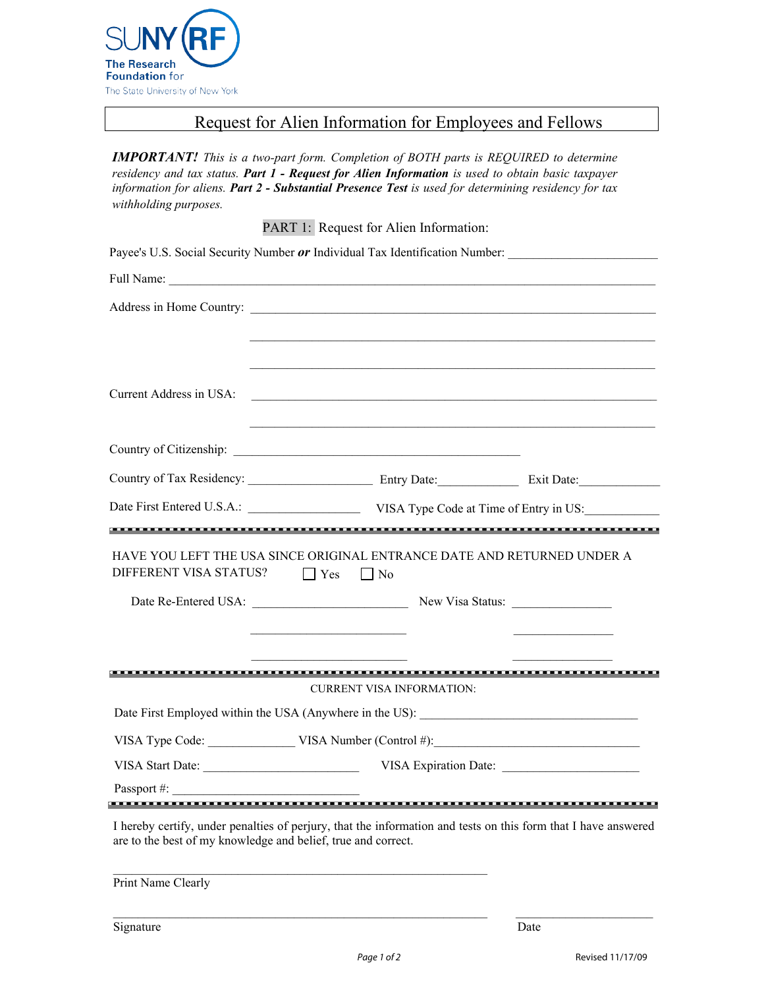

## Request for Alien Information for Employees and Fellows

*IMPORTANT! This is a two-part form. Completion of BOTH parts is REQUIRED to determine residency and tax status. Part 1 - Request for Alien Information is used to obtain basic taxpayer information for aliens. Part 2 - Substantial Presence Test is used for determining residency for tax withholding purposes.* 

PART 1: Request for Alien Information:

| Payee's U.S. Social Security Number or Individual Tax Identification Number:                                                                                                    |                                                                                                                       |                                                |
|---------------------------------------------------------------------------------------------------------------------------------------------------------------------------------|-----------------------------------------------------------------------------------------------------------------------|------------------------------------------------|
| Full Name:                                                                                                                                                                      |                                                                                                                       |                                                |
|                                                                                                                                                                                 |                                                                                                                       |                                                |
|                                                                                                                                                                                 | <u> 1989 - Johann Stoff, amerikansk politiker (d. 1989)</u>                                                           |                                                |
|                                                                                                                                                                                 |                                                                                                                       |                                                |
| Current Address in USA:                                                                                                                                                         | <u> 1989 - Johann Barn, fransk politik en og den større og den større og den større og den som for de større og d</u> |                                                |
|                                                                                                                                                                                 |                                                                                                                       |                                                |
|                                                                                                                                                                                 |                                                                                                                       |                                                |
|                                                                                                                                                                                 |                                                                                                                       |                                                |
| Date First Entered U.S.A.: VISA Type Code at Time of Entry in US:                                                                                                               |                                                                                                                       |                                                |
|                                                                                                                                                                                 |                                                                                                                       |                                                |
| HAVE YOU LEFT THE USA SINCE ORIGINAL ENTRANCE DATE AND RETURNED UNDER A<br>DIFFERENT VISA STATUS?                                                                               | $\Box$ Yes<br>$\Box$ No                                                                                               |                                                |
|                                                                                                                                                                                 |                                                                                                                       |                                                |
|                                                                                                                                                                                 |                                                                                                                       |                                                |
|                                                                                                                                                                                 | <u> 1989 - Johann Barn, mars ar breithinn ar breithinn ar breithinn ar breithinn ar breithinn ar breithinn ar br</u>  | <u> The Communication of the Communication</u> |
|                                                                                                                                                                                 | <b>CURRENT VISA INFORMATION:</b>                                                                                      |                                                |
|                                                                                                                                                                                 |                                                                                                                       |                                                |
|                                                                                                                                                                                 |                                                                                                                       |                                                |
| VISA Start Date: VISA Expiration Date: VISA Expiration Date:                                                                                                                    |                                                                                                                       |                                                |
| Passport #:                                                                                                                                                                     |                                                                                                                       |                                                |
| I hereby certify, under penalties of perjury, that the information and tests on this form that I have answered<br>are to the best of my knowledge and belief, true and correct. |                                                                                                                       |                                                |
| Print Name Clearly                                                                                                                                                              |                                                                                                                       |                                                |

\_\_\_\_\_\_\_\_\_\_\_\_\_\_\_\_\_\_\_\_\_\_\_\_\_\_\_\_\_\_\_\_\_\_\_\_\_\_\_\_\_\_\_\_\_\_\_\_\_\_\_\_\_\_\_\_\_\_\_\_ \_\_\_\_\_\_\_\_\_\_\_\_\_\_\_\_\_\_\_\_\_\_